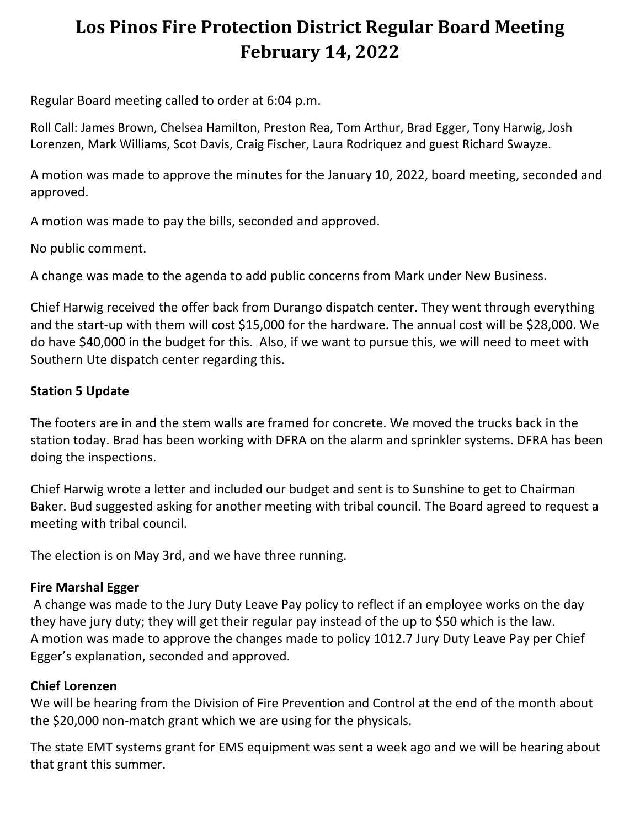# **Los Pinos Fire Protection District Regular Board Meeting February 14, 2022**

Regular Board meeting called to order at 6:04 p.m.

Roll Call: James Brown, Chelsea Hamilton, Preston Rea, Tom Arthur, Brad Egger, Tony Harwig, Josh Lorenzen, Mark Williams, Scot Davis, Craig Fischer, Laura Rodriquez and guest Richard Swayze.

A motion was made to approve the minutes for the January 10, 2022, board meeting, seconded and approved.

A motion was made to pay the bills, seconded and approved.

No public comment.

A change was made to the agenda to add public concerns from Mark under New Business.

Chief Harwig received the offer back from Durango dispatch center. They went through everything and the start-up with them will cost \$15,000 for the hardware. The annual cost will be \$28,000. We do have \$40,000 in the budget for this. Also, if we want to pursue this, we will need to meet with Southern Ute dispatch center regarding this.

## **Station 5 Update**

The footers are in and the stem walls are framed for concrete. We moved the trucks back in the station today. Brad has been working with DFRA on the alarm and sprinkler systems. DFRA has been doing the inspections.

 Chief Harwig wrote a letter and included our budget and sent is to Sunshine to get to Chairman Baker. Bud suggested asking for another meeting with tribal council. The Board agreed to request a meeting with tribal council.

The election is on May 3rd, and we have three running.

### **Fire Marshal Egger**

A change was made to the Jury Duty Leave Pay policy to reflect if an employee works on the day they have jury duty; they will get their regular pay instead of the up to \$50 which is the law. A motion was made to approve the changes made to policy 1012.7 Jury Duty Leave Pay per Chief Egger's explanation, seconded and approved.

### **Chief Lorenzen**

We will be hearing from the Division of Fire Prevention and Control at the end of the month about the \$20,000 non-match grant which we are using for the physicals.

The state EMT systems grant for EMS equipment was sent a week ago and we will be hearing about that grant this summer.